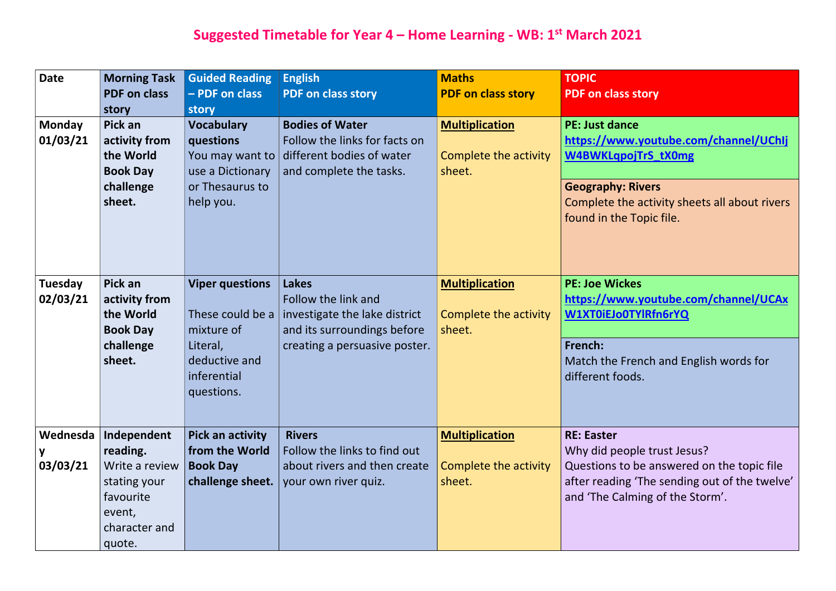#### Suggested Timetable for Year 4 – Home Learning - WB: 1<sup>st</sup> March 2021

| <b>Date</b>                | <b>Morning Task</b><br><b>PDF on class</b><br>story                                                         | <b>Guided Reading</b><br>- PDF on class<br>story                                                                   | <b>English</b><br><b>PDF on class story</b>                                                                                          | <b>Maths</b><br><b>PDF on class story</b>                       | <b>TOPIC</b><br><b>PDF on class st</b>                                                                                     |
|----------------------------|-------------------------------------------------------------------------------------------------------------|--------------------------------------------------------------------------------------------------------------------|--------------------------------------------------------------------------------------------------------------------------------------|-----------------------------------------------------------------|----------------------------------------------------------------------------------------------------------------------------|
| <b>Monday</b><br>01/03/21  | Pick an<br>activity from<br>the World<br><b>Book Day</b><br>challenge<br>sheet.                             | <b>Vocabulary</b><br>questions<br>You may want to<br>use a Dictionary<br>or Thesaurus to<br>help you.              | <b>Bodies of Water</b><br>Follow the links for facts on<br>different bodies of water<br>and complete the tasks.                      | <b>Multiplication</b><br>Complete the activity<br>sheet.        | <b>PE: Just dance</b><br>https://www.y<br><b>W4BWKLqpojT</b><br><b>Geography: Riv</b><br>Complete the a<br>found in the To |
| <b>Tuesday</b><br>02/03/21 | Pick an<br>activity from<br>the World<br><b>Book Day</b><br>challenge<br>sheet.                             | <b>Viper questions</b><br>These could be a<br>mixture of<br>Literal,<br>deductive and<br>inferential<br>questions. | <b>Lakes</b><br>Follow the link and<br>investigate the lake district<br>and its surroundings before<br>creating a persuasive poster. | <b>Multiplication</b><br>Complete the activity<br>sheet.        | <b>PE: Joe Wickes</b><br>https://www.y<br>W1XT0iEJo0TY<br>French:<br>Match the Frer<br>different foods                     |
| Wednesda<br>y<br>03/03/21  | Independent<br>reading.<br>Write a review<br>stating your<br>favourite<br>event,<br>character and<br>quote. | Pick an activity<br>from the World<br><b>Book Day</b><br>challenge sheet.                                          | <b>Rivers</b><br>Follow the links to find out<br>about rivers and then create<br>your own river quiz.                                | <b>Multiplication</b><br><b>Complete the activity</b><br>sheet. | <b>RE: Easter</b><br>Why did people<br>Questions to be<br>after reading 'T<br>and 'The Calmi                               |

## story v.youtube.com/channel/UChIj bjTrS\_tX0mg **Rivers** e activity sheets all about rivers Topic file. es v.youtube.com/channel/UCAx TYIRfn6rYQ

ench and English words for ds.

ple trust Jesus? be answered on the topic file 'The sending out of the twelve' ming of the Storm'.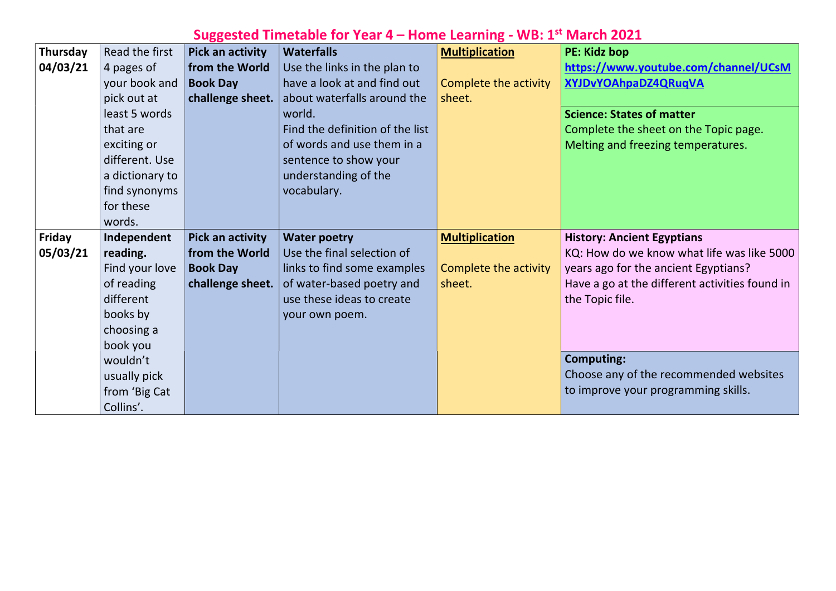#### Suggested Timetable for Year 4 – Home Learning - WB: 1<sup>st</sup> March 2021

| <b>Thursday</b> | Read the first  | Pick an activity        | <b>Waterfalls</b>               | <b>Multiplication</b> | <b>PE: Kidz bop</b>                                                   |
|-----------------|-----------------|-------------------------|---------------------------------|-----------------------|-----------------------------------------------------------------------|
| 04/03/21        | 4 pages of      | from the World          | Use the links in the plan to    |                       | https://www.                                                          |
|                 | your book and   | <b>Book Day</b>         | have a look at and find out     | Complete the activity | <b>XYJDvYOAhpa</b>                                                    |
|                 | pick out at     | challenge sheet.        | about waterfalls around the     | sheet.                |                                                                       |
|                 | least 5 words   |                         | world.                          |                       | <b>Science: State</b>                                                 |
|                 | that are        |                         | Find the definition of the list |                       | Complete the                                                          |
|                 | exciting or     |                         | of words and use them in a      |                       | Melting and fr                                                        |
|                 | different. Use  |                         | sentence to show your           |                       |                                                                       |
|                 | a dictionary to |                         | understanding of the            |                       |                                                                       |
|                 | find synonyms   |                         | vocabulary.                     |                       |                                                                       |
|                 | for these       |                         |                                 |                       |                                                                       |
|                 | words.          |                         |                                 |                       |                                                                       |
|                 |                 |                         |                                 |                       |                                                                       |
| <b>Friday</b>   | Independent     | <b>Pick an activity</b> | <b>Water poetry</b>             | <b>Multiplication</b> |                                                                       |
| 05/03/21        | reading.        | from the World          | Use the final selection of      |                       |                                                                       |
|                 | Find your love  | <b>Book Day</b>         | links to find some examples     | Complete the activity |                                                                       |
|                 | of reading      | challenge sheet.        | of water-based poetry and       | sheet.                |                                                                       |
|                 | different       |                         | use these ideas to create       |                       |                                                                       |
|                 | books by        |                         | your own poem.                  |                       |                                                                       |
|                 | choosing a      |                         |                                 |                       | KQ: How do w<br>years ago for t<br>Have a go at th<br>the Topic file. |
|                 | book you        |                         |                                 |                       | <b>History: Ancie</b>                                                 |
|                 | wouldn't        |                         |                                 |                       | Computing:                                                            |
|                 | usually pick    |                         |                                 |                       |                                                                       |
|                 | from 'Big Cat   |                         |                                 |                       | Choose any of<br>to improve yo                                        |

#### v.youtube.com/channel/UCsM aDZ4QRuqVA

### es of matter

e sheet on the Topic page. freezing temperatures.

#### ient Egyptians

we know what life was like 5000  $\cdot$  the ancient Egyptians? the different activities found in

of the recommended websites our programming skills.